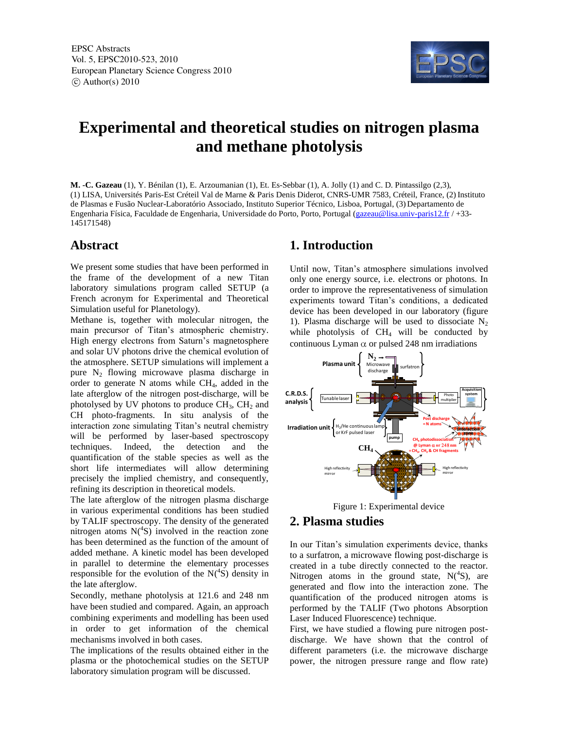

# **Experimental and theoretical studies on nitrogen plasma and methane photolysis**

**M. -C. Gazeau** (1), Y. Bénilan (1), E. Arzoumanian (1), Et. Es-Sebbar (1), A. Jolly (1) and C. D. Pintassilgo (2,3), (1) LISA, Universités Paris-Est Créteil Val de Marne & Paris Denis Diderot, CNRS-UMR 7583, Créteil, France, (2) Instituto de Plasmas e Fusão Nuclear-Laboratório Associado, Instituto Superior Técnico, Lisboa, Portugal, (3) Departamento de Engenharia Física, Faculdade de Engenharia, Universidade do Porto, Porto, Portugal (gazeau@lisa.univ-paris12.fr / +33- 145171548)

### **Abstract**

We present some studies that have been performed in the frame of the development of a new Titan laboratory simulations program called SETUP (a French acronym for Experimental and Theoretical Simulation useful for Planetology).

Methane is, together with molecular nitrogen, the main precursor of Titan's atmospheric chemistry. High energy electrons from Saturn's magnetosphere and solar UV photons drive the chemical evolution of the atmosphere. SETUP simulations will implement a pure N<sup>2</sup> flowing microwave plasma discharge in order to generate  $N$  atoms while  $CH<sub>4</sub>$ , added in the late afterglow of the nitrogen post-discharge, will be photolysed by UV photons to produce  $CH<sub>3</sub>$ ,  $CH<sub>2</sub>$  and CH photo-fragments. In situ analysis of the interaction zone simulating Titan's neutral chemistry will be performed by laser-based spectroscopy techniques. Indeed, the detection and the quantification of the stable species as well as the short life intermediates will allow determining precisely the implied chemistry, and consequently, refining its description in theoretical models.

The late afterglow of the nitrogen plasma discharge in various experimental conditions has been studied by TALIF spectroscopy. The density of the generated nitrogen atoms  $N(^{4}S)$  involved in the reaction zone has been determined as the function of the amount of added methane. A kinetic model has been developed in parallel to determine the elementary processes responsible for the evolution of the  $N(^{4}S)$  density in the late afterglow.

Secondly, methane photolysis at 121.6 and 248 nm have been studied and compared. Again, an approach combining experiments and modelling has been used in order to get information of the chemical mechanisms involved in both cases.

The implications of the results obtained either in the plasma or the photochemical studies on the SETUP laboratory simulation program will be discussed.

## **1. Introduction**

Until now, Titan's atmosphere simulations involved only one energy source, i.e. electrons or photons. In order to improve the representativeness of simulation experiments toward Titan's conditions, a dedicated device has been developed in our laboratory (figure 1). Plasma discharge will be used to dissociate  $N_2$ while photolysis of  $CH<sub>4</sub>$  will be conducted by continuous Lyman  $\alpha$  or pulsed 248 nm irradiations



Figure 1: Experimental device

## **2. Plasma studies**

In our Titan's simulation experiments device, thanks to a surfatron, a microwave flowing post-discharge is created in a tube directly connected to the reactor. Nitrogen atoms in the ground state,  $N(^4S)$ , are generated and flow into the interaction zone. The quantification of the produced nitrogen atoms is performed by the TALIF (Two photons Absorption Laser Induced Fluorescence) technique.

First, we have studied a flowing pure nitrogen postdischarge. We have shown that the control of different parameters (i.e. the microwave discharge power, the nitrogen pressure range and flow rate)